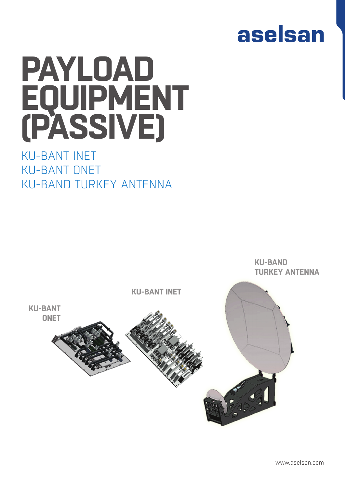# aselsan

# **PAYLOAD EQUIPMENT (PASSIVE)**

## KU-BANT INET KU-BANT ONET KU-BAND TURKEY ANTENNA